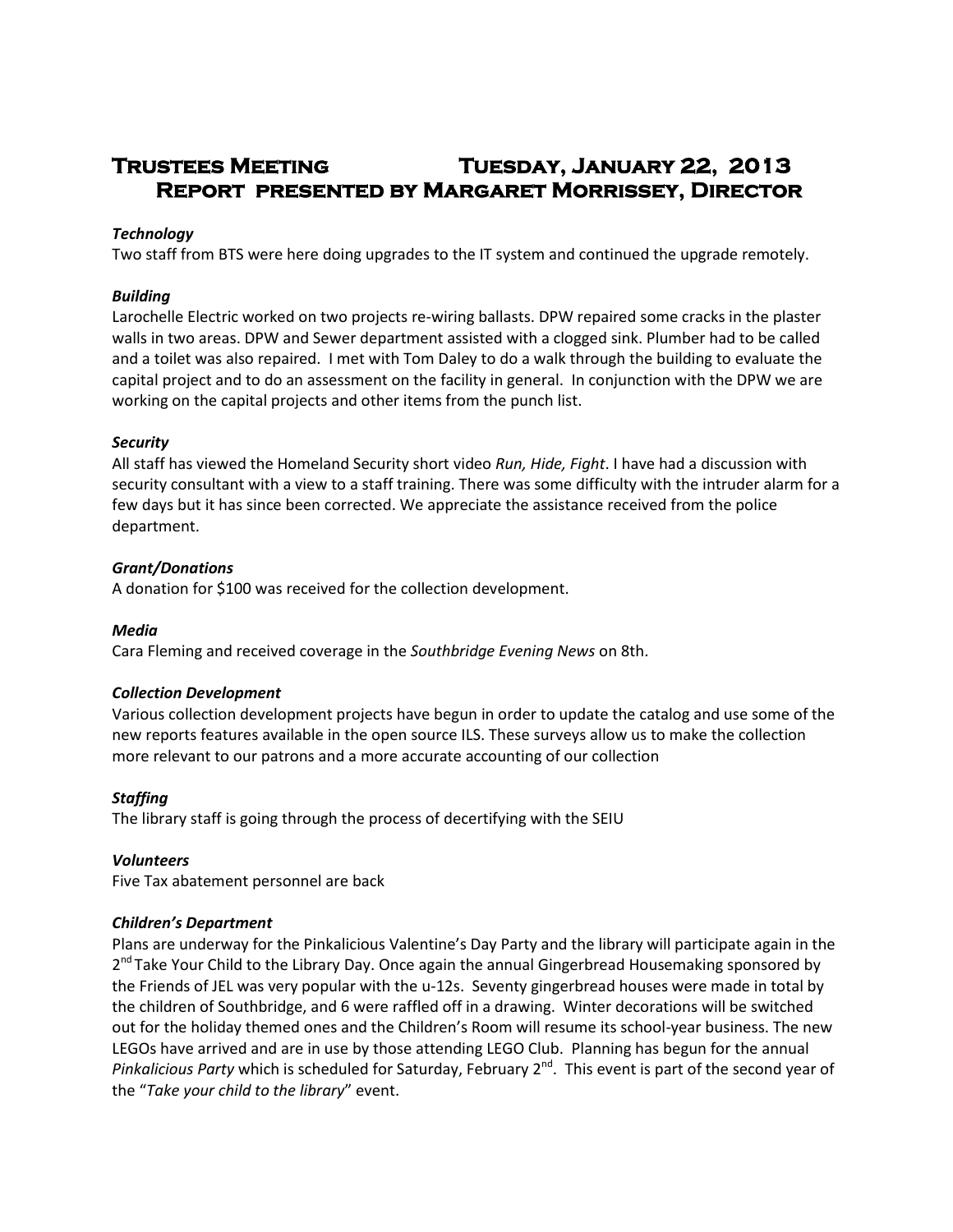# **Trustees Meeting Tuesday, January 22, 2013 Report presented by Margaret Morrissey, Director**

## *Technology*

Two staff from BTS were here doing upgrades to the IT system and continued the upgrade remotely.

### *Building*

Larochelle Electric worked on two projects re-wiring ballasts. DPW repaired some cracks in the plaster walls in two areas. DPW and Sewer department assisted with a clogged sink. Plumber had to be called and a toilet was also repaired. I met with Tom Daley to do a walk through the building to evaluate the capital project and to do an assessment on the facility in general. In conjunction with the DPW we are working on the capital projects and other items from the punch list.

## *Security*

All staff has viewed the Homeland Security short video *Run, Hide, Fight*. I have had a discussion with security consultant with a view to a staff training. There was some difficulty with the intruder alarm for a few days but it has since been corrected. We appreciate the assistance received from the police department.

## *Grant/Donations*

A donation for \$100 was received for the collection development.

#### *Media*

Cara Fleming and received coverage in the *Southbridge Evening News* on 8th.

# *Collection Development*

Various collection development projects have begun in order to update the catalog and use some of the new reports features available in the open source ILS. These surveys allow us to make the collection more relevant to our patrons and a more accurate accounting of our collection

# *Staffing*

The library staff is going through the process of decertifying with the SEIU

#### *Volunteers*

Five Tax abatement personnel are back

#### *Children's Department*

Plans are underway for the Pinkalicious Valentine's Day Party and the library will participate again in the 2<sup>nd</sup> Take Your Child to the Library Day. Once again the annual Gingerbread Housemaking sponsored by the Friends of JEL was very popular with the u-12s. Seventy gingerbread houses were made in total by the children of Southbridge, and 6 were raffled off in a drawing. Winter decorations will be switched out for the holiday themed ones and the Children's Room will resume its school-year business. The new LEGOs have arrived and are in use by those attending LEGO Club. Planning has begun for the annual Pinkalicious Party which is scheduled for Saturday, February 2<sup>nd</sup>. This event is part of the second year of the "*Take your child to the library*" event.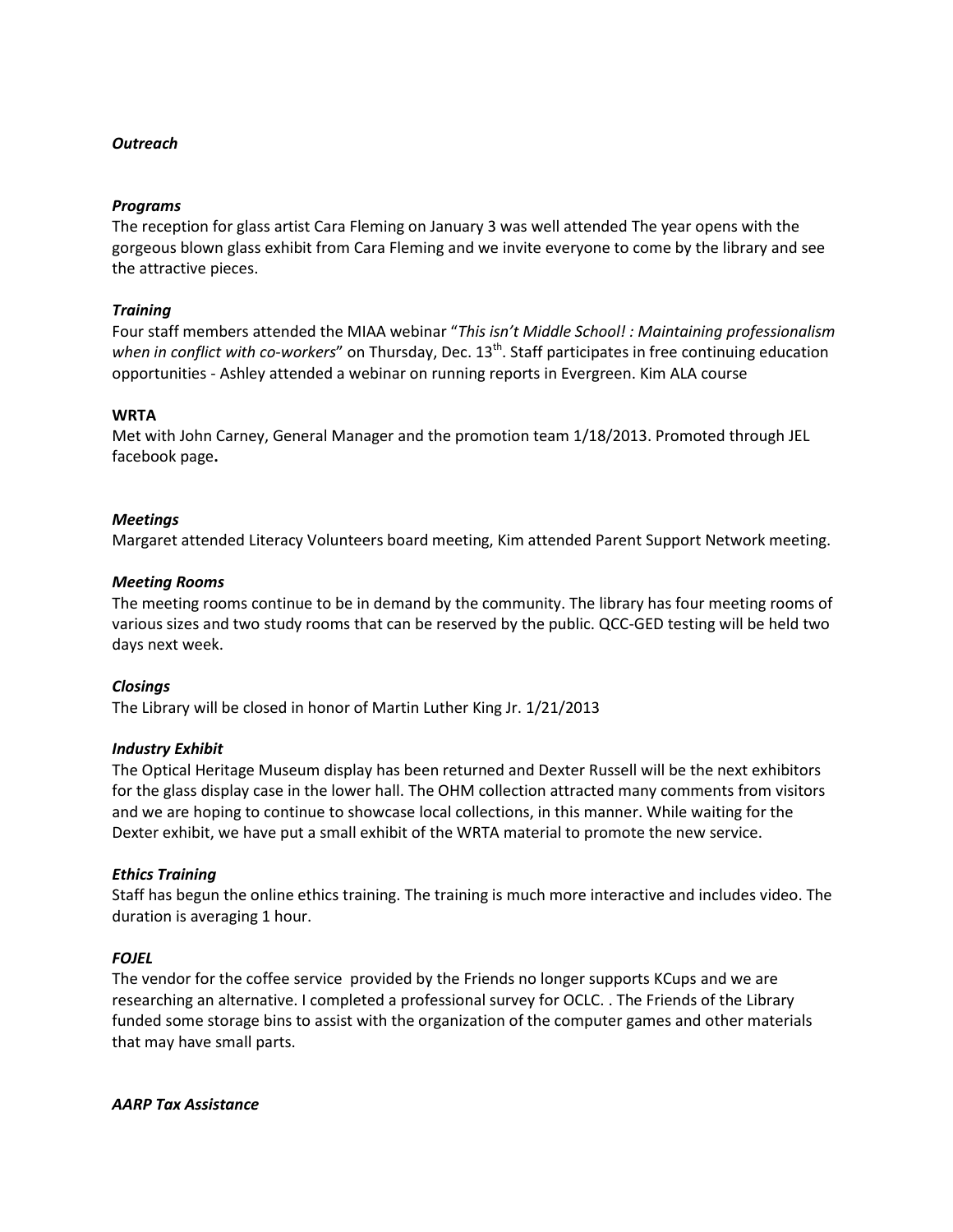# *Outreach*

### *Programs*

The reception for glass artist Cara Fleming on January 3 was well attended The year opens with the gorgeous blown glass exhibit from Cara Fleming and we invite everyone to come by the library and see the attractive pieces.

## *Training*

Four staff members attended the MIAA webinar "*This isn't Middle School! : Maintaining professionalism*  when in conflict with co-workers" on Thursday, Dec. 13<sup>th</sup>. Staff participates in free continuing education opportunities - Ashley attended a webinar on running reports in Evergreen. Kim ALA course

## **WRTA**

Met with John Carney, General Manager and the promotion team 1/18/2013. Promoted through JEL facebook page**.**

## *Meetings*

Margaret attended Literacy Volunteers board meeting, Kim attended Parent Support Network meeting.

## *Meeting Rooms*

The meeting rooms continue to be in demand by the community. The library has four meeting rooms of various sizes and two study rooms that can be reserved by the public. QCC-GED testing will be held two days next week.

#### *Closings*

The Library will be closed in honor of Martin Luther King Jr. 1/21/2013

#### *Industry Exhibit*

The Optical Heritage Museum display has been returned and Dexter Russell will be the next exhibitors for the glass display case in the lower hall. The OHM collection attracted many comments from visitors and we are hoping to continue to showcase local collections, in this manner. While waiting for the Dexter exhibit, we have put a small exhibit of the WRTA material to promote the new service.

# *Ethics Training*

Staff has begun the online ethics training. The training is much more interactive and includes video. The duration is averaging 1 hour.

# *FOJEL*

The vendor for the coffee service provided by the Friends no longer supports KCups and we are researching an alternative. I completed a professional survey for OCLC. . The Friends of the Library funded some storage bins to assist with the organization of the computer games and other materials that may have small parts.

#### *AARP Tax Assistance*